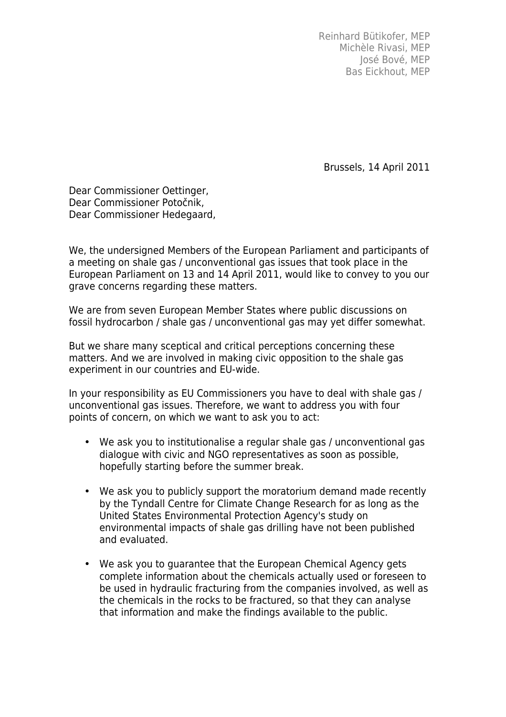Reinhard Bütikofer, MEP Michèle Rivasi, MEP José Bové, MEP Bas Eickhout, MEP

Brussels, 14 April 2011

Dear Commissioner Oettinger, Dear Commissioner Potočnik, Dear Commissioner Hedegaard,

We, the undersigned Members of the European Parliament and participants of a meeting on shale gas / unconventional gas issues that took place in the European Parliament on 13 and 14 April 2011, would like to convey to you our grave concerns regarding these matters.

We are from seven European Member States where public discussions on fossil hydrocarbon / shale gas / unconventional gas may yet differ somewhat.

But we share many sceptical and critical perceptions concerning these matters. And we are involved in making civic opposition to the shale gas experiment in our countries and EU-wide.

In your responsibility as EU Commissioners you have to deal with shale gas / unconventional gas issues. Therefore, we want to address you with four points of concern, on which we want to ask you to act:

- We ask you to institutionalise a regular shale gas / unconventional gas dialogue with civic and NGO representatives as soon as possible, hopefully starting before the summer break.
- We ask you to publicly support the moratorium demand made recently by the Tyndall Centre for Climate Change Research for as long as the United States Environmental Protection Agency's study on environmental impacts of shale gas drilling have not been published and evaluated.
- We ask you to guarantee that the European Chemical Agency gets complete information about the chemicals actually used or foreseen to be used in hydraulic fracturing from the companies involved, as well as the chemicals in the rocks to be fractured, so that they can analyse that information and make the findings available to the public.